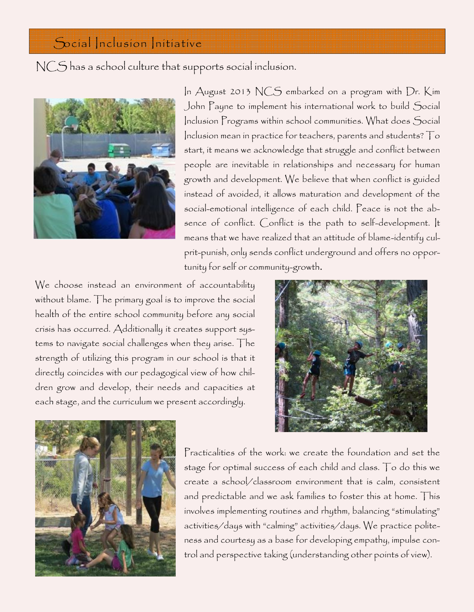## Social Inclusion Initiative

NCS has a school culture that supports social inclusion.



In August 2013 NCS embarked on a program with Dr. Kim John Payne to implement his international work to build Social Inclusion Programs within school communities. What does Social Inclusion mean in practice for teachers, parents and students? To start, it means we acknowledge that struggle and conflict between people are inevitable in relationships and necessary for human growth and development. We believe that when conflict is guided instead of avoided, it allows maturation and development of the social-emotional intelligence of each child. Peace is not the absence of conflict. Conflict is the path to self-development. It means that we have realized that an attitude of blame-identify culprit-punish, only sends conflict underground and offers no opportunity for self or community-growth.

We choose instead an environment of accountability without blame. The primary goal is to improve the social health of the entire school community before any social crisis has occurred. Additionally it creates support systems to navigate social challenges when they arise. The strength of utilizing this program in our school is that it directly coincides with our pedagogical view of how children grow and develop, their needs and capacities at each stage, and the curriculum we present accordingly.





Practicalities of the work: we create the foundation and set the stage for optimal success of each child and class. To do this we create a school/classroom environment that is calm, consistent and predictable and we ask families to foster this at home. This involves implementing routines and rhythm, balancing "stimulating" activities/days with "calming" activities/days. We practice politeness and courtesy as a base for developing empathy, impulse control and perspective taking (understanding other points of view).